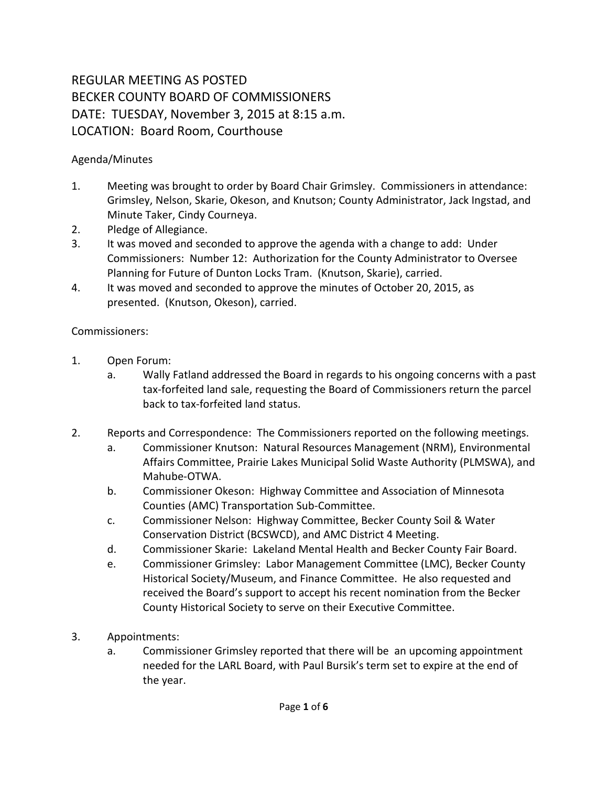## REGULAR MEETING AS POSTED BECKER COUNTY BOARD OF COMMISSIONERS DATE: TUESDAY, November 3, 2015 at 8:15 a.m. LOCATION: Board Room, Courthouse

## Agenda/Minutes

- 1. Meeting was brought to order by Board Chair Grimsley. Commissioners in attendance: Grimsley, Nelson, Skarie, Okeson, and Knutson; County Administrator, Jack Ingstad, and Minute Taker, Cindy Courneya.
- 2. Pledge of Allegiance.
- 3. It was moved and seconded to approve the agenda with a change to add: Under Commissioners: Number 12: Authorization for the County Administrator to Oversee Planning for Future of Dunton Locks Tram. (Knutson, Skarie), carried.
- 4. It was moved and seconded to approve the minutes of October 20, 2015, as presented. (Knutson, Okeson), carried.

## Commissioners:

- 1. Open Forum:
	- a. Wally Fatland addressed the Board in regards to his ongoing concerns with a past tax-forfeited land sale, requesting the Board of Commissioners return the parcel back to tax-forfeited land status.
- 2. Reports and Correspondence: The Commissioners reported on the following meetings.
	- a. Commissioner Knutson: Natural Resources Management (NRM), Environmental Affairs Committee, Prairie Lakes Municipal Solid Waste Authority (PLMSWA), and Mahube-OTWA.
	- b. Commissioner Okeson: Highway Committee and Association of Minnesota Counties (AMC) Transportation Sub-Committee.
	- c. Commissioner Nelson: Highway Committee, Becker County Soil & Water Conservation District (BCSWCD), and AMC District 4 Meeting.
	- d. Commissioner Skarie: Lakeland Mental Health and Becker County Fair Board.
	- e. Commissioner Grimsley: Labor Management Committee (LMC), Becker County Historical Society/Museum, and Finance Committee. He also requested and received the Board's support to accept his recent nomination from the Becker County Historical Society to serve on their Executive Committee.
- 3. Appointments:
	- a. Commissioner Grimsley reported that there will be an upcoming appointment needed for the LARL Board, with Paul Bursik's term set to expire at the end of the year.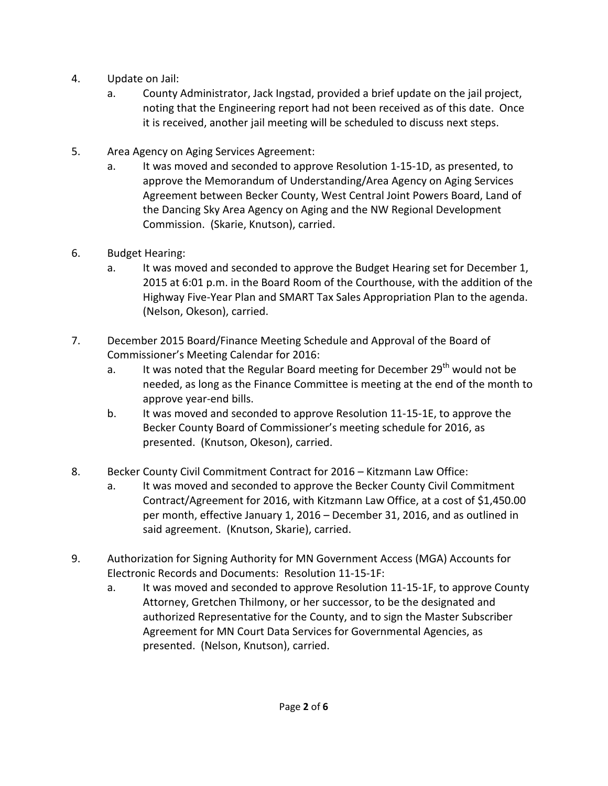- 4. Update on Jail:
	- a. County Administrator, Jack Ingstad, provided a brief update on the jail project, noting that the Engineering report had not been received as of this date. Once it is received, another jail meeting will be scheduled to discuss next steps.
- 5. Area Agency on Aging Services Agreement:
	- a. It was moved and seconded to approve Resolution 1-15-1D, as presented, to approve the Memorandum of Understanding/Area Agency on Aging Services Agreement between Becker County, West Central Joint Powers Board, Land of the Dancing Sky Area Agency on Aging and the NW Regional Development Commission. (Skarie, Knutson), carried.
- 6. Budget Hearing:
	- a. It was moved and seconded to approve the Budget Hearing set for December 1, 2015 at 6:01 p.m. in the Board Room of the Courthouse, with the addition of the Highway Five-Year Plan and SMART Tax Sales Appropriation Plan to the agenda. (Nelson, Okeson), carried.
- 7. December 2015 Board/Finance Meeting Schedule and Approval of the Board of Commissioner's Meeting Calendar for 2016:
	- a. It was noted that the Regular Board meeting for December 29<sup>th</sup> would not be needed, as long as the Finance Committee is meeting at the end of the month to approve year-end bills.
	- b. It was moved and seconded to approve Resolution 11-15-1E, to approve the Becker County Board of Commissioner's meeting schedule for 2016, as presented. (Knutson, Okeson), carried.
- 8. Becker County Civil Commitment Contract for 2016 Kitzmann Law Office:
	- a. It was moved and seconded to approve the Becker County Civil Commitment Contract/Agreement for 2016, with Kitzmann Law Office, at a cost of \$1,450.00 per month, effective January 1, 2016 – December 31, 2016, and as outlined in said agreement. (Knutson, Skarie), carried.
- 9. Authorization for Signing Authority for MN Government Access (MGA) Accounts for Electronic Records and Documents: Resolution 11-15-1F:
	- a. It was moved and seconded to approve Resolution 11-15-1F, to approve County Attorney, Gretchen Thilmony, or her successor, to be the designated and authorized Representative for the County, and to sign the Master Subscriber Agreement for MN Court Data Services for Governmental Agencies, as presented. (Nelson, Knutson), carried.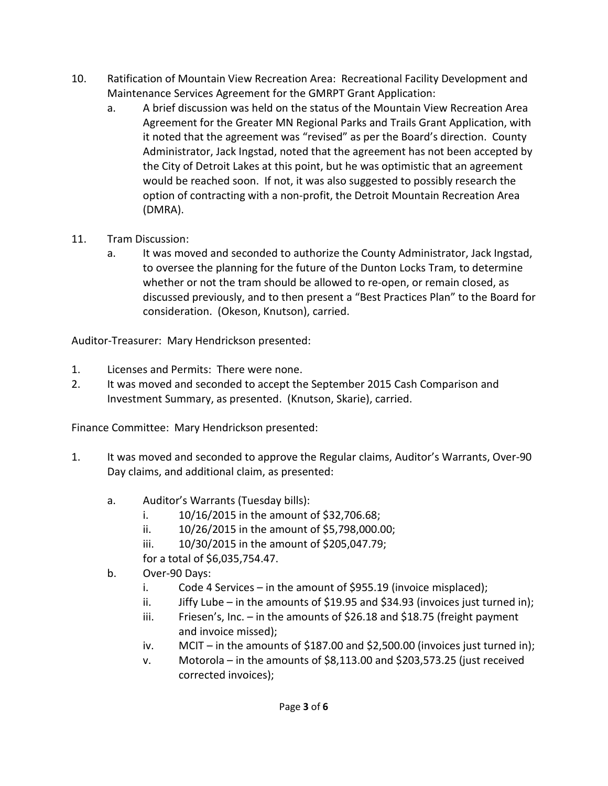- 10. Ratification of Mountain View Recreation Area: Recreational Facility Development and Maintenance Services Agreement for the GMRPT Grant Application:
	- a. A brief discussion was held on the status of the Mountain View Recreation Area Agreement for the Greater MN Regional Parks and Trails Grant Application, with it noted that the agreement was "revised" as per the Board's direction. County Administrator, Jack Ingstad, noted that the agreement has not been accepted by the City of Detroit Lakes at this point, but he was optimistic that an agreement would be reached soon. If not, it was also suggested to possibly research the option of contracting with a non-profit, the Detroit Mountain Recreation Area (DMRA).
- 11. Tram Discussion:
	- a. It was moved and seconded to authorize the County Administrator, Jack Ingstad, to oversee the planning for the future of the Dunton Locks Tram, to determine whether or not the tram should be allowed to re-open, or remain closed, as discussed previously, and to then present a "Best Practices Plan" to the Board for consideration. (Okeson, Knutson), carried.

Auditor-Treasurer: Mary Hendrickson presented:

- 1. Licenses and Permits: There were none.
- 2. It was moved and seconded to accept the September 2015 Cash Comparison and Investment Summary, as presented. (Knutson, Skarie), carried.

Finance Committee: Mary Hendrickson presented:

- 1. It was moved and seconded to approve the Regular claims, Auditor's Warrants, Over-90 Day claims, and additional claim, as presented:
	- a. Auditor's Warrants (Tuesday bills):
		- i. 10/16/2015 in the amount of \$32,706.68;
		- ii. 10/26/2015 in the amount of \$5,798,000.00;
		- iii. 10/30/2015 in the amount of \$205,047.79;
		- for a total of \$6,035,754.47.
	- b. Over-90 Days:
		- i. Code 4 Services in the amount of \$955.19 (invoice misplaced);
		- ii. Jiffy Lube in the amounts of \$19.95 and \$34.93 (invoices just turned in);
		- iii. Friesen's, Inc. in the amounts of \$26.18 and \$18.75 (freight payment and invoice missed);
		- iv. MCIT in the amounts of \$187.00 and \$2,500.00 (invoices just turned in);
		- v. Motorola in the amounts of \$8,113.00 and \$203,573.25 (just received corrected invoices);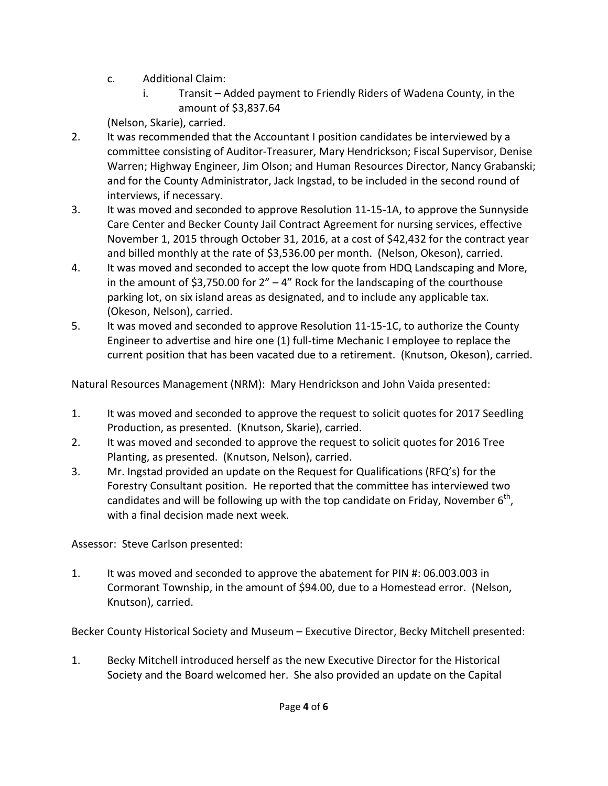- c. Additional Claim:
	- i. Transit Added payment to Friendly Riders of Wadena County, in the amount of \$3,837.64

(Nelson, Skarie), carried.

- 2. It was recommended that the Accountant I position candidates be interviewed by a committee consisting of Auditor-Treasurer, Mary Hendrickson; Fiscal Supervisor, Denise Warren; Highway Engineer, Jim Olson; and Human Resources Director, Nancy Grabanski; and for the County Administrator, Jack Ingstad, to be included in the second round of interviews, if necessary.
- 3. It was moved and seconded to approve Resolution 11-15-1A, to approve the Sunnyside Care Center and Becker County Jail Contract Agreement for nursing services, effective November 1, 2015 through October 31, 2016, at a cost of \$42,432 for the contract year and billed monthly at the rate of \$3,536.00 per month. (Nelson, Okeson), carried.
- 4. It was moved and seconded to accept the low quote from HDQ Landscaping and More, in the amount of \$3,750.00 for  $2'' - 4''$  Rock for the landscaping of the courthouse parking lot, on six island areas as designated, and to include any applicable tax. (Okeson, Nelson), carried.
- 5. It was moved and seconded to approve Resolution 11-15-1C, to authorize the County Engineer to advertise and hire one (1) full-time Mechanic I employee to replace the current position that has been vacated due to a retirement. (Knutson, Okeson), carried.

Natural Resources Management (NRM): Mary Hendrickson and John Vaida presented:

- 1. It was moved and seconded to approve the request to solicit quotes for 2017 Seedling Production, as presented. (Knutson, Skarie), carried.
- 2. It was moved and seconded to approve the request to solicit quotes for 2016 Tree Planting, as presented. (Knutson, Nelson), carried.
- 3. Mr. Ingstad provided an update on the Request for Qualifications (RFQ's) for the Forestry Consultant position. He reported that the committee has interviewed two candidates and will be following up with the top candidate on Friday, November  $6<sup>th</sup>$ , with a final decision made next week.

Assessor: Steve Carlson presented:

1. It was moved and seconded to approve the abatement for PIN #: 06.003.003 in Cormorant Township, in the amount of \$94.00, due to a Homestead error. (Nelson, Knutson), carried.

Becker County Historical Society and Museum – Executive Director, Becky Mitchell presented:

1. Becky Mitchell introduced herself as the new Executive Director for the Historical Society and the Board welcomed her. She also provided an update on the Capital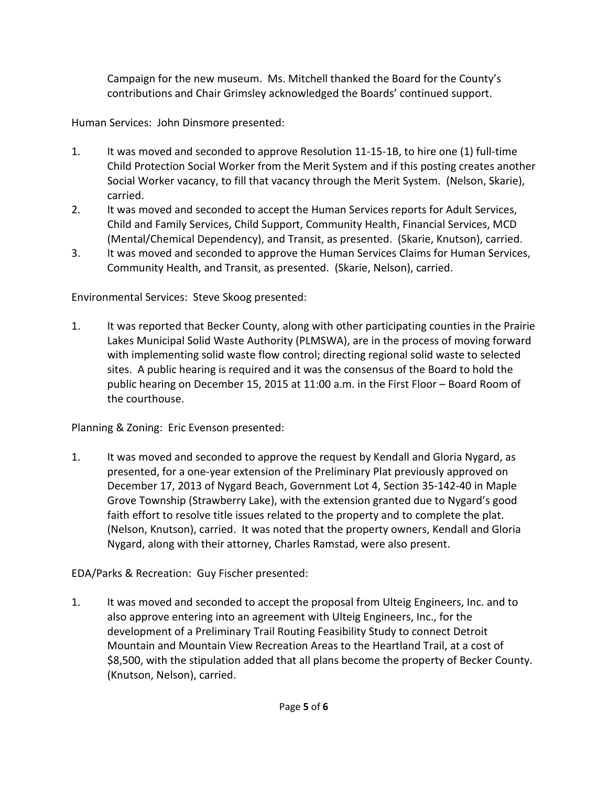Campaign for the new museum. Ms. Mitchell thanked the Board for the County's contributions and Chair Grimsley acknowledged the Boards' continued support.

Human Services: John Dinsmore presented:

- 1. It was moved and seconded to approve Resolution 11-15-1B, to hire one (1) full-time Child Protection Social Worker from the Merit System and if this posting creates another Social Worker vacancy, to fill that vacancy through the Merit System. (Nelson, Skarie), carried.
- 2. It was moved and seconded to accept the Human Services reports for Adult Services, Child and Family Services, Child Support, Community Health, Financial Services, MCD (Mental/Chemical Dependency), and Transit, as presented. (Skarie, Knutson), carried.
- 3. It was moved and seconded to approve the Human Services Claims for Human Services, Community Health, and Transit, as presented. (Skarie, Nelson), carried.

Environmental Services: Steve Skoog presented:

1. It was reported that Becker County, along with other participating counties in the Prairie Lakes Municipal Solid Waste Authority (PLMSWA), are in the process of moving forward with implementing solid waste flow control; directing regional solid waste to selected sites. A public hearing is required and it was the consensus of the Board to hold the public hearing on December 15, 2015 at 11:00 a.m. in the First Floor – Board Room of the courthouse.

Planning & Zoning: Eric Evenson presented:

1. It was moved and seconded to approve the request by Kendall and Gloria Nygard, as presented, for a one-year extension of the Preliminary Plat previously approved on December 17, 2013 of Nygard Beach, Government Lot 4, Section 35-142-40 in Maple Grove Township (Strawberry Lake), with the extension granted due to Nygard's good faith effort to resolve title issues related to the property and to complete the plat. (Nelson, Knutson), carried. It was noted that the property owners, Kendall and Gloria Nygard, along with their attorney, Charles Ramstad, were also present.

EDA/Parks & Recreation: Guy Fischer presented:

1. It was moved and seconded to accept the proposal from Ulteig Engineers, Inc. and to also approve entering into an agreement with Ulteig Engineers, Inc., for the development of a Preliminary Trail Routing Feasibility Study to connect Detroit Mountain and Mountain View Recreation Areas to the Heartland Trail, at a cost of \$8,500, with the stipulation added that all plans become the property of Becker County. (Knutson, Nelson), carried.